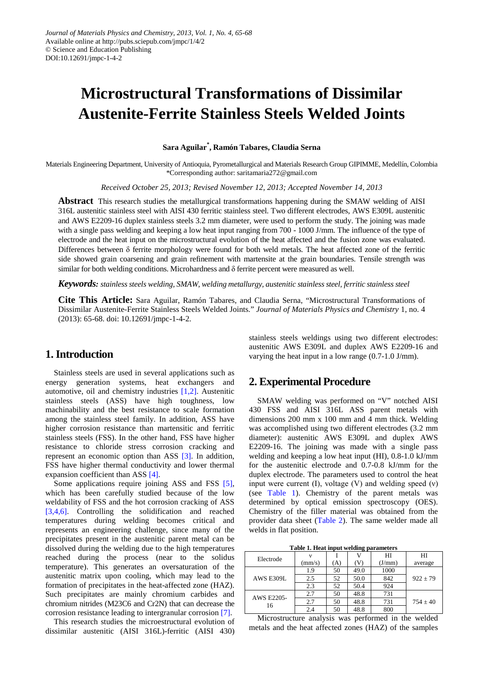# **Microstructural Transformations of Dissimilar Austenite-Ferrite Stainless Steels Welded Joints**

**Sara Aguilar\* , Ramón Tabares, Claudia Serna**

Materials Engineering Department, University of Antioquia, Pyrometallurgical and Materials Research Group GIPIMME, Medellín, Colombia \*Corresponding author: saritamaria272@gmail.com

*Received October 25, 2013; Revised November 12, 2013; Accepted November 14, 2013*

**Abstract** This research studies the metallurgical transformations happening during the SMAW welding of AISI 316L austenitic stainless steel with AISI 430 ferritic stainless steel. Two different electrodes, AWS E309L austenitic and AWS E2209-16 duplex stainless steels 3.2 mm diameter, were used to perform the study. The joining was made with a single pass welding and keeping a low heat input ranging from 700 - 1000 J/mm. The influence of the type of electrode and the heat input on the microstructural evolution of the heat affected and the fusion zone was evaluated. Differences between  $\delta$  ferrite morphology were found for both weld metals. The heat affected zone of the ferritic side showed grain coarsening and grain refinement with martensite at the grain boundaries. Tensile strength was similar for both welding conditions. Microhardness and  $\delta$  ferrite percent were measured as well.

*Keywords: stainless steels welding, SMAW, welding metallurgy, austenitic stainless steel, ferritic stainless steel*

**Cite This Article:** Sara Aguilar, Ramón Tabares, and Claudia Serna, "Microstructural Transformations of Dissimilar Austenite-Ferrite Stainless Steels Welded Joints." *Journal of Materials Physics and Chemistry* 1, no. 4 (2013): 65-68. doi: 10.12691/jmpc-1-4-2.

# **1. Introduction**

Stainless steels are used in several applications such as energy generation systems, heat exchangers and automotive, oil and chemistry industries [\[1,2\].](#page-3-0) Austenitic stainless steels (ASS) have high toughness, low machinability and the best resistance to scale formation among the stainless steel family. In addition, ASS have higher corrosion resistance than martensitic and ferritic stainless steels (FSS). In the other hand, FSS have higher resistance to chloride stress corrosion cracking and represent an economic option than ASS [\[3\].](#page-3-1) In addition, FSS have higher thermal conductivity and lower thermal expansion coefficient than AS[S \[4\].](#page-3-2)

Some applications require joining ASS and FSS [\[5\],](#page-3-3) which has been carefully studied because of the low weldability of FSS and the hot corrosion cracking of ASS [\[3,4,6\].](#page-3-1) Controlling the solidification and reached temperatures during welding becomes critical and represents an engineering challenge, since many of the precipitates present in the austenitic parent metal can be dissolved during the welding due to the high temperatures reached during the process (near to the solidus temperature). This generates an oversaturation of the austenitic matrix upon cooling, which may lead to the formation of precipitates in the heat-affected zone (HAZ). Such precipitates are mainly chromium carbides and chromium nitrides (M23C6 and Cr2N) that can decrease the corrosion resistance leading to intergranular corrosion [\[7\].](#page-3-4)

This research studies the microestructural evolution of dissimilar austenitic (AISI 316L)-ferritic (AISI 430) stainless steels weldings using two different electrodes: austenitic AWS E309L and duplex AWS E2209-16 and varying the heat input in a low range (0.7-1.0 J/mm).

# **2. Experimental Procedure**

SMAW welding was performed on "V" notched AISI 430 FSS and AISI 316L ASS parent metals with dimensions 200 mm x 100 mm and 4 mm thick. Welding was accomplished using two different electrodes (3.2 mm diameter): austenitic AWS E309L and duplex AWS E2209-16. The joining was made with a single pass welding and keeping a low heat input (HI), 0.8-1.0 kJ/mm for the austenitic electrode and 0.7-0.8 kJ/mm for the duplex electrode. The parameters used to control the heat input were current (I), voltage (V) and welding speed  $(v)$ (see [Table 1\)](#page-0-0). Chemistry of the parent metals was determined by optical emission spectroscopy (OES). Chemistry of the filler material was obtained from the provider data sheet [\(Table 2\)](#page-1-0). The same welder made all welds in flat position.

**Table 1. Heat input welding parameters**

<span id="page-0-0"></span>

| Electrode        |        |     |      | HI     | HI         |
|------------------|--------|-----|------|--------|------------|
|                  | (mm/s) | (A) | (V)  | (J/mm) | average    |
| <b>AWS E309L</b> | 1.9    | 50  | 49.0 | 1000   |            |
|                  | 2.5    | 52  | 50.0 | 842    | $922 + 79$ |
|                  | 2.3    | 52  | 50.4 | 924    |            |
| AWS E2205-<br>16 | 2.7    | 50  | 48.8 | 731    |            |
|                  | 2.7    | 50  | 48.8 | 731    | $754 + 40$ |
|                  | 2.4    | 50  | 48.8 | 800    |            |

Microstructure analysis was performed in the welded metals and the heat affected zones (HAZ) of the samples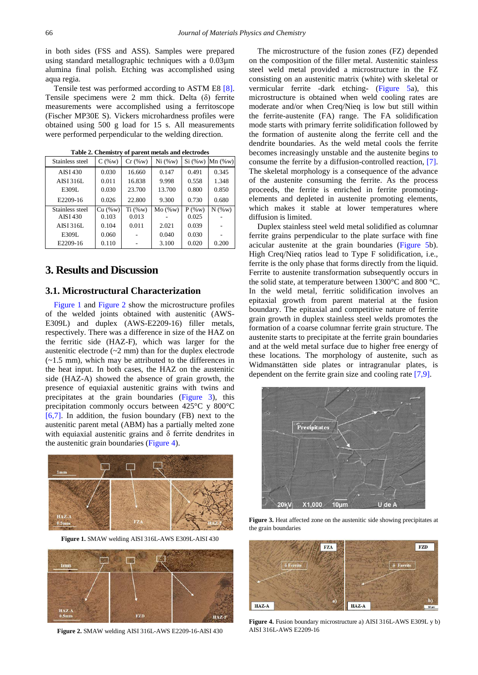in both sides (FSS and ASS). Samples were prepared using standard metallographic techniques with a 0.03µm alumina final polish. Etching was accomplished using aqua regia.

Tensile test was performed according to ASTM E8 [\[8\].](#page-3-5) Tensile specimens were 2 mm thick. Delta (δ) ferrite measurements were accomplished using a ferritoscope (Fischer MP30E S). Vickers microhardness profiles were obtained using 500 g load for 15 s. All measurements were performed perpendicular to the welding direction.

<span id="page-1-0"></span>

| Stainless steel  | $C($ %w $)$ | $Cr$ (%w) | Ni (%w)      | Si (%w)  | $Mn$ (%w)   |
|------------------|-------------|-----------|--------------|----------|-------------|
| AISI 430         | 0.030       | 16.660    | 0.147        | 0.491    | 0.345       |
| AISI 316L        | 0.011       | 16.838    | 9.998        | 0.558    | 1.348       |
| E309L            | 0.030       | 23.700    | 13.700       | 0.800    | 0.850       |
| E2209-16         | 0.026       | 22.800    | 9.300        | 0.730    | 0.680       |
| Stainless steel  | Cu ( % w)   | Ti (%w)   | $Mo($ %w $)$ | $P($ %w) | $N($ %w $)$ |
| AISI 430         | 0.103       | 0.013     |              | 0.025    |             |
| <b>AISI 316L</b> | 0.104       | 0.011     | 2.021        | 0.039    |             |
| E309L            | 0.060       |           | 0.040        | 0.030    |             |
| E2209-16         | 0.110       |           | 3.100        | 0.020    | 0.200       |

**Table 2. Chemistry of parent metals and electrodes**

# **3. Results and Discussion**

## **3.1. Microstructural Characterization**

[Figure 1](#page-1-1) and [Figure 2](#page-1-2) show the microstructure profiles of the welded joints obtained with austenitic (AWS-E309L) and duplex (AWS-E2209-16) filler metals, respectively. There was a difference in size of the HAZ on the ferritic side (HAZ-F), which was larger for the austenitic electrode (~2 mm) than for the duplex electrode (~1.5 mm), which may be attributed to the differences in the heat input. In both cases, the HAZ on the austenitic side (HAZ-A) showed the absence of grain growth, the presence of equiaxial austenitic grains with twins and precipitates at the grain boundaries [\(Figure 3\)](#page-1-3), this precipitation commonly occurs between 425°C y 800°C [\[6,7\].](#page-3-6) In addition, the fusion boundary (FB) next to the austenitic parent metal (ABM) has a partially melted zone with equiaxial austenitic grains and  $\delta$  ferrite dendrites in the austenitic grain boundaries [\(Figure 4\)](#page-1-4).

<span id="page-1-1"></span>

**Figure 1.** SMAW welding AISI 316L-AWS E309L-AISI 430

<span id="page-1-2"></span>

**Figure 2.** SMAW welding AISI 316L-AWS E2209-16-AISI 430

The microstructure of the fusion zones (FZ) depended on the composition of the filler metal. Austenitic stainless steel weld metal provided a microstructure in the FZ consisting on an austenitic matrix (white) with skeletal or vermicular ferrite -dark etching- [\(Figure 5a](#page-2-0)), this microstructure is obtained when weld cooling rates are moderate and/or when Creq/Nieq is low but still within the ferrite-austenite (FA) range. The FA solidification mode starts with primary ferrite solidification followed by the formation of austenite along the ferrite cell and the dendrite boundaries. As the weld metal cools the ferrite becomes increasingly unstable and the austenite begins to consume the ferrite by a diffusion-controlled reaction, [\[7\].](#page-3-4) The skeletal morphology is a consequence of the advance of the austenite consuming the ferrite. As the process proceeds, the ferrite is enriched in ferrite promotingelements and depleted in austenite promoting elements, which makes it stable at lower temperatures where diffusion is limited.

Duplex stainless steel weld metal solidified as columnar ferrite grains perpendicular to the plate surface with fine acicular austenite at the grain boundaries [\(Figure 5b](#page-2-0)). High Creq/Nieq ratios lead to Type F solidification, i.e., ferrite is the only phase that forms directly from the liquid. Ferrite to austenite transformation subsequently occurs in the solid state, at temperature between 1300°C and 800 °C. In the weld metal, ferritic solidification involves an epitaxial growth from parent material at the fusion boundary. The epitaxial and competitive nature of ferrite grain growth in duplex stainless steel welds promotes the formation of a coarse columnar ferrite grain structure. The austenite starts to precipitate at the ferrite grain boundaries and at the weld metal surface due to higher free energy of these locations. The morphology of austenite, such as Widmanstätten side plates or intragranular plates, is dependent on the ferrite grain size and cooling rate [\[7,9\].](#page-3-4)

<span id="page-1-3"></span>

**Figure 3.** Heat affected zone on the austenitic side showing precipitates at the grain boundaries

<span id="page-1-4"></span>

**Figure 4.** Fusion boundary microstructure a) AISI 316L-AWS E309L y b) AISI 316L-AWS E2209-16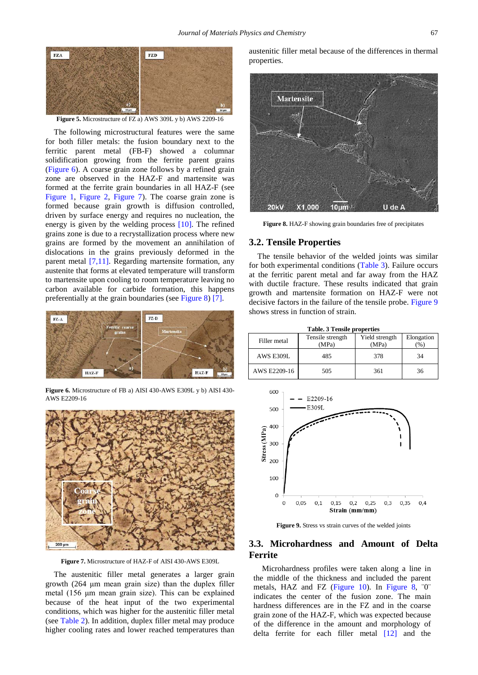<span id="page-2-0"></span>

**Figure 5.** Microstructure of FZ a) AWS 309L y b) AWS 2209-16

The following microstructural features were the same for both filler metals: the fusion boundary next to the ferritic parent metal (FB-F) showed a columnar solidification growing from the ferrite parent grains [\(Figure 6\)](#page-2-1). A coarse grain zone follows by a refined grain zone are observed in the HAZ-F and martensite was formed at the ferrite grain boundaries in all HAZ-F (see [Figure 1,](#page-1-1) [Figure 2,](#page-1-2) [Figure 7\)](#page-2-2). The coarse grain zone is formed because grain growth is diffusion controlled, driven by surface energy and requires no nucleation, the energy is given by the welding process  $[10]$ . The refined grains zone is due to a recrystallization process where new grains are formed by the movement an annihilation of dislocations in the grains previously deformed in the parent metal [\[7,11\].](#page-3-4) Regarding martensite formation, any austenite that forms at elevated temperature will transform to martensite upon cooling to room temperature leaving no carbon available for carbide formation, this happens preferentially at the grain boundaries (see [Figure 8\)](#page-2-3) [\[7\].](#page-3-4)

<span id="page-2-1"></span>

**Figure 6.** Microstructure of FB a) AISI 430-AWS E309L y b) AISI 430- AWS E2209-16

<span id="page-2-2"></span>

**Figure 7.** Microstructure of HAZ-F of AISI 430-AWS E309L

The austenitic filler metal generates a larger grain growth (264 μm mean grain size) than the duplex filler metal (156 μm mean grain size). This can be explained because of the heat input of the two experimental conditions, which was higher for the austenitic filler metal (see [Table 2\)](#page-1-0). In addition, duplex filler metal may produce higher cooling rates and lower reached temperatures than

austenitic filler metal because of the differences in thermal properties.

<span id="page-2-3"></span>

**Figure 8.** HAZ-F showing grain boundaries free of precipitates

#### **3.2. Tensile Properties**

The tensile behavior of the welded joints was similar for both experimental conditions [\(Table 3\)](#page-2-4). Failure occurs at the ferritic parent metal and far away from the HAZ with ductile fracture. These results indicated that grain growth and martensite formation on HAZ-F were not decisive factors in the failure of the tensile probe. [Figure 9](#page-2-5) shows stress in function of strain.

<span id="page-2-4"></span>

| <b>Table. 3 Tensile properties</b> |                           |                         |                    |  |  |  |
|------------------------------------|---------------------------|-------------------------|--------------------|--|--|--|
| Filler metal                       | Tensile strength<br>(MPa) | Yield strength<br>(MPa) | Elongation<br>$\%$ |  |  |  |
| AWS E309L                          | 485                       | 378                     | 34                 |  |  |  |
| AWS E2209-16                       | 505                       | 361                     | 36                 |  |  |  |

<span id="page-2-5"></span>

**Figure 9.** Stress vs strain curves of the welded joints

## **3.3. Microhardness and Amount of Delta Ferrite**

Microhardness profiles were taken along a line in the middle of the thickness and included the parent metals, HAZ and FZ [\(Figure 10\)](#page-3-8). In [Figure 8,](#page-2-3) <sup>oo</sup> indicates the center of the fusion zone. The main hardness differences are in the FZ and in the coarse grain zone of the HAZ-F, which was expected because of the difference in the amount and morphology of delta ferrite for each filler metal [\[12\]](#page-3-9) and the